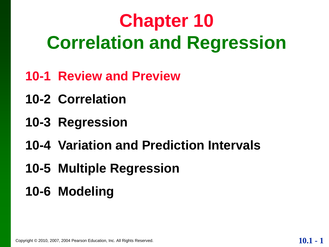# **Chapter 10 Correlation and Regression**

- **10-1 Review and Preview**
- **10-2 Correlation**
- **10-3 Regression**
- **10-4 Variation and Prediction Intervals**
- **10-5 Multiple Regression**
- **10-6 Modeling**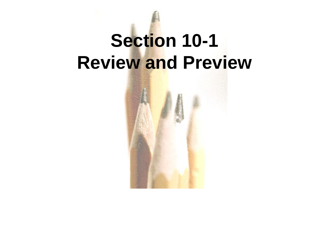# **Section 10-1 Review and Preview**

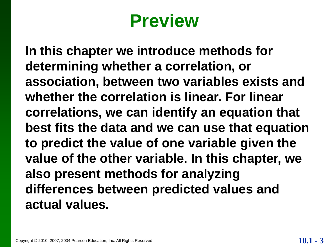# **Preview**

**In this chapter we introduce methods for determining whether a correlation, or association, between two variables exists and whether the correlation is linear. For linear correlations, we can identify an equation that best fits the data and we can use that equation to predict the value of one variable given the value of the other variable. In this chapter, we also present methods for analyzing differences between predicted values and actual values.**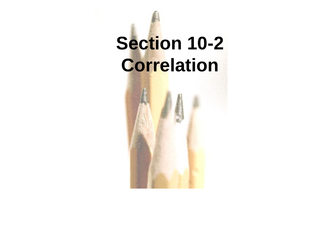# **Section 10-2 Correlation**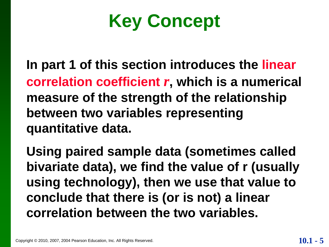**Key Concept**

**In part 1 of this section introduces the linear correlation coefficient** *r***, which is a numerical measure of the strength of the relationship between two variables representing quantitative data.**

**Using paired sample data (sometimes called bivariate data), we find the value of r (usually using technology), then we use that value to conclude that there is (or is not) a linear correlation between the two variables.**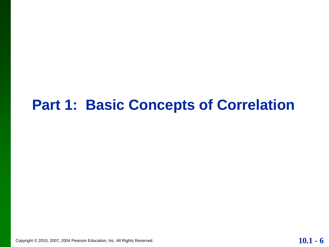#### **Part 1: Basic Concepts of Correlation**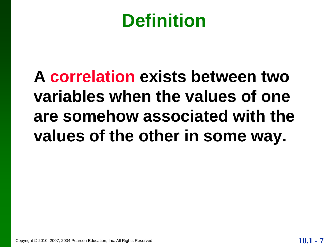# **Definition**

# **A correlation exists between two variables when the values of one are somehow associated with the values of the other in some way.**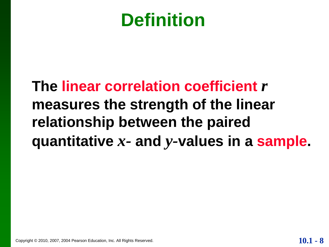# **Definition**

### **The linear correlation coefficient** *r* **measures the strength of the linear relationship between the paired quantitative** *x-* **and** *y-***values in a sample.**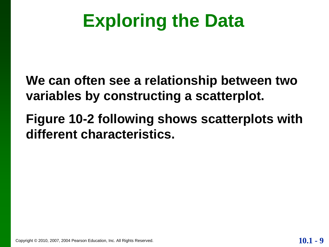# **Exploring the Data**

**We can often see a relationship between two variables by constructing a scatterplot.**

**Figure 10-2 following shows scatterplots with different characteristics.**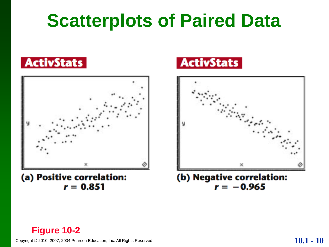# **Scatterplots of Paired Data**





(a) Positive correlation:  $r = 0.851$ 





(b) Negative correlation:  $r = -0.965$ 

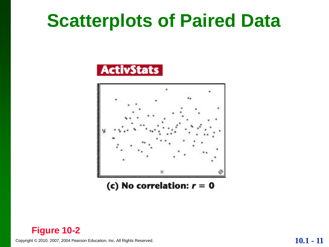### **Scatterplots of Paired Data**





(c) No correlation:  $r = 0$ 

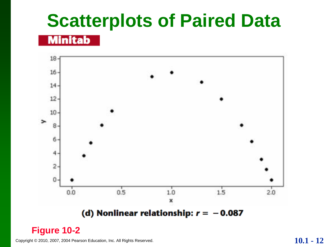# **Scatterplots of Paired Data**

#### **Minitab**



#### **Figure 10-2**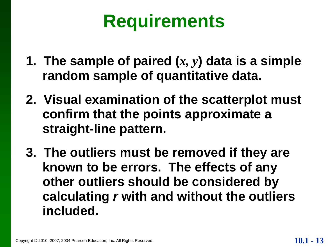# **Requirements**

- **1. The sample of paired (***x, y***) data is a simple random sample of quantitative data.**
- **2. Visual examination of the scatterplot must confirm that the points approximate a straight-line pattern.**
- **3. The outliers must be removed if they are known to be errors. The effects of any other outliers should be considered by calculating** *r* **with and without the outliers included.**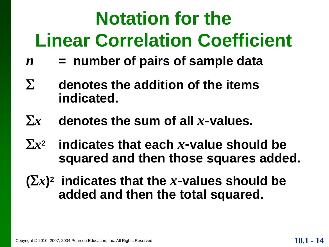# **Notation for the Linear Correlation Coefficient**

- *n* **= number of pairs of sample data**
- **denotes the addition of the items indicated.**
- $\sum x$  **denotes the sum of all** *x***-values.**
- $\sum x^2$ **indicates that each** *x***-value should be squared and then those squares added.**
- $(\sum x)^2$  indicates that the *x*-values should be **added and then the total squared.**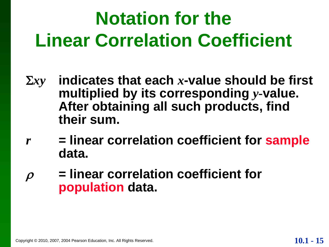# **Notation for the Linear Correlation Coefficient**

- *xy* **indicates that each** *x***-value should be first multiplied by its corresponding** *y***-value. After obtaining all such products, find their sum.**
- *r* **= linear correlation coefficient for sample data.**
- **= linear correlation coefficient for population data.**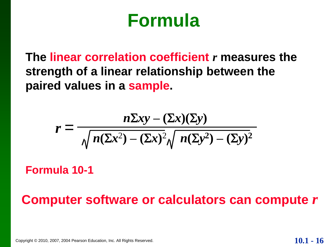### **Formula**

**The linear correlation coefficient** *r* **measures the strength of a linear relationship between the paired values in a sample.**

$$
r = \frac{n\Sigma xy - (\Sigma x)(\Sigma y)}{\sqrt{n(\Sigma x^2) - (\Sigma x)^2}\sqrt{n(\Sigma y^2) - (\Sigma y)^2}}
$$

**Formula 10-1**

**Computer software or calculators can compute** *r*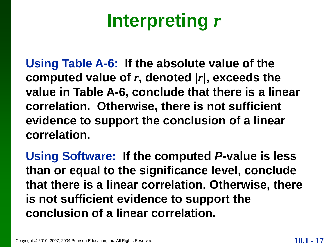# **Interpreting** *r*

**Using Table A-6: If the absolute value of the computed value of** *r***, denoted |***r***|, exceeds the value in Table A-6, conclude that there is a linear correlation. Otherwise, there is not sufficient evidence to support the conclusion of a linear correlation.**

**Using Software: If the computed** *P***-value is less than or equal to the significance level, conclude that there is a linear correlation. Otherwise, there is not sufficient evidence to support the conclusion of a linear correlation.**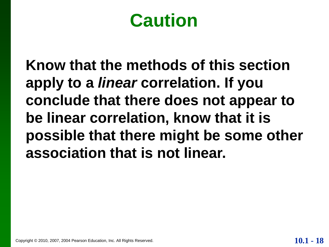# **Caution**

**Know that the methods of this section apply to a** *linear* **correlation. If you conclude that there does not appear to be linear correlation, know that it is possible that there might be some other association that is not linear.**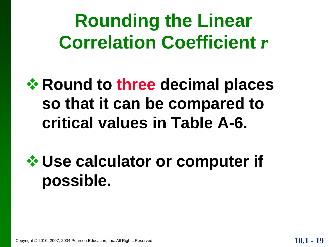**Rounding the Linear Correlation Coefficient** *r*

**<del><b>☆ Round to three decimal places**</del> **so that it can be compared to critical values in Table A-6.**

**Use calculator or computer if possible.**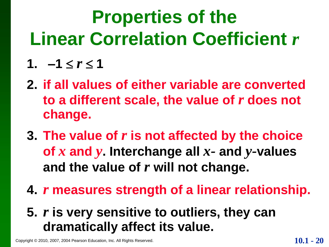# **Properties of the Linear Correlation Coefficient** *r*

#### 1.  $-1 \le r \le 1$

- **2. if all values of either variable are converted to a different scale, the value of** *r* **does not change.**
- **3. The value of** *r* **is not affected by the choice of** *x* **and** *y***. Interchange all** *x-* **and** *y-***values and the value of** *r* **will not change.**
- **4.** *r* **measures strength of a linear relationship.**
- **5.** *r* **is very sensitive to outliers, they can dramatically affect its value.**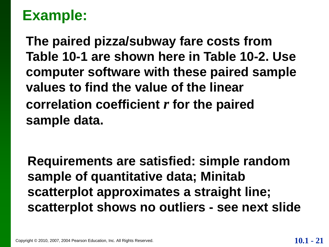**The paired pizza/subway fare costs from Table 10-1 are shown here in Table 10-2. Use computer software with these paired sample values to find the value of the linear correlation coefficient** *r* **for the paired sample data.**

**Requirements are satisfied: simple random sample of quantitative data; Minitab scatterplot approximates a straight line; scatterplot shows no outliers - see next slide**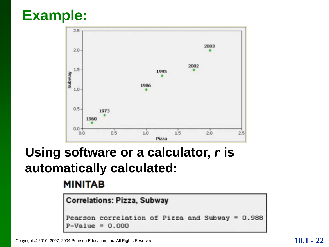

#### **Using software or a calculator,** *r* **is automatically calculated:**

#### **MINITAB**

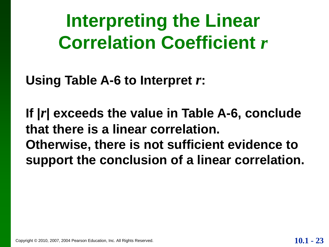**Interpreting the Linear Correlation Coefficient** *r*

**Using Table A-6 to Interpret** *r***:**

**If |***r***| exceeds the value in Table A-6, conclude that there is a linear correlation. Otherwise, there is not sufficient evidence to support the conclusion of a linear correlation.**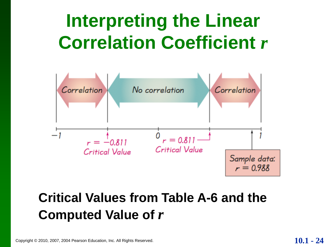# **Interpreting the Linear Correlation Coefficient** *r*



#### **Critical Values from Table A-6 and the Computed Value of** *r*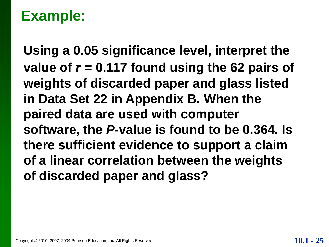**Using a 0.05 significance level, interpret the**  value of  $r = 0.117$  found using the 62 pairs of **weights of discarded paper and glass listed in Data Set 22 in Appendix B. When the paired data are used with computer software, the** *P***-value is found to be 0.364. Is there sufficient evidence to support a claim of a linear correlation between the weights of discarded paper and glass?**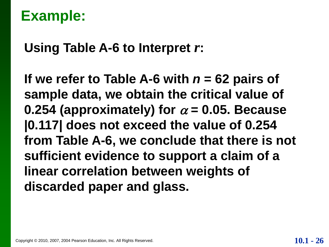**Using Table A-6 to Interpret** *r***:**

**If we refer to Table A-6 with** *n* **= 62 pairs of sample data, we obtain the critical value of**  0.254 (approximately) for  $\alpha$  = 0.05. Because **|0.117| does not exceed the value of 0.254 from Table A-6, we conclude that there is not sufficient evidence to support a claim of a linear correlation between weights of discarded paper and glass.**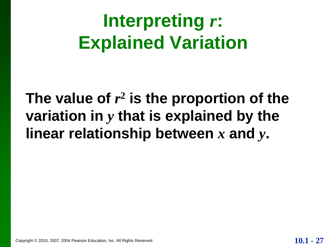# **Interpreting** *r***: Explained Variation**

### **The value of** *r* **2 is the proportion of the variation in** *y* **that is explained by the linear relationship between** *x* **and** *y***.**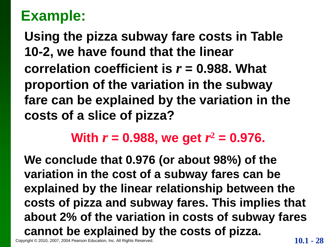**Using the pizza subway fare costs in Table 10-2, we have found that the linear correlation coefficient is** *r* **= 0.988. What proportion of the variation in the subway fare can be explained by the variation in the costs of a slice of pizza?**

#### **With**  $r = 0.988$ **, we get**  $r^2 = 0.976$ **.**

Copyright © 2010, 2007, 2004 Pearson Education, Inc. All Rights Reserved. **10.1 - 28 We conclude that 0.976 (or about 98%) of the variation in the cost of a subway fares can be explained by the linear relationship between the costs of pizza and subway fares. This implies that about 2% of the variation in costs of subway fares cannot be explained by the costs of pizza.**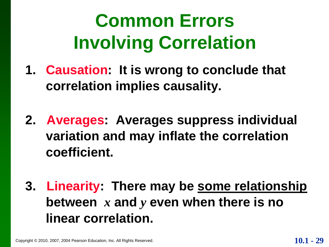# **Common Errors Involving Correlation**

- **1. Causation: It is wrong to conclude that correlation implies causality.**
- **2. Averages: Averages suppress individual variation and may inflate the correlation coefficient.**
- **3. Linearity: There may be some relationship between** *x* **and** *y* **even when there is no linear correlation.**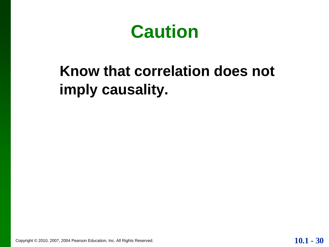**Caution**

### **Know that correlation does not imply causality.**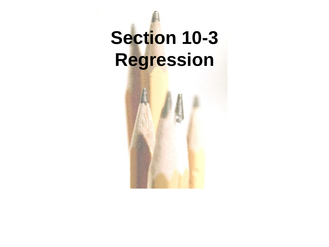# **Section 10-3 Regression**

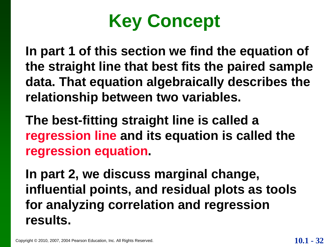

**In part 1 of this section we find the equation of the straight line that best fits the paired sample data. That equation algebraically describes the relationship between two variables.** 

**The best-fitting straight line is called a regression line and its equation is called the regression equation.**

**In part 2, we discuss marginal change, influential points, and residual plots as tools for analyzing correlation and regression results.**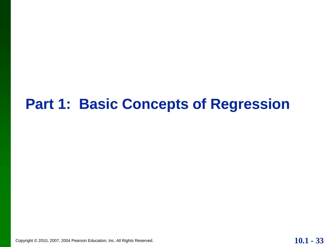#### **Part 1: Basic Concepts of Regression**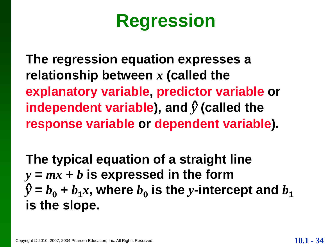# **Regression**

**The regression equation expresses a relationship between** *x* **(called the explanatory variable, predictor variable or**  independent variable), and  $\hat{y}$  (called the **response variable or dependent variable).**

**The typical equation of a straight line**  $y = mx + b$  is expressed in the form  $\hat{y} = b_0 + b_1x$ , where  $b_0$  is the *y*-intercept and  $b_1$ **is the slope.**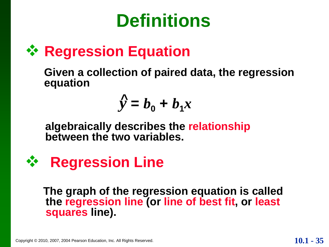# **Definitions**

### **<sup>☆</sup> Regression Equation**

**Given a collection of paired data, the regression equation**

$$
\hat{y} = b_0 + b_1 x
$$

**algebraically describes the relationship between the two variables.**



**The graph of the regression equation is called the regression line (or line of best fit, or least squares line).**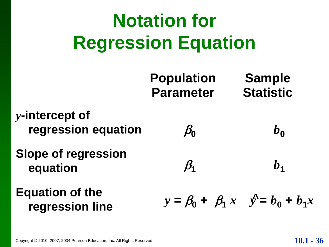# **Notation for Regression Equation**

|                                           | <b>Population</b><br><b>Parameter</b>        | <b>Sample</b><br><b>Statistic</b> |
|-------------------------------------------|----------------------------------------------|-----------------------------------|
| y-intercept of<br>regression equation     | $\beta_0$                                    | $b_{0}$                           |
| <b>Slope of regression</b><br>equation    | $\beta_{1}$                                  | $b_{1}$                           |
| <b>Equation of the</b><br>regression line | $y = \beta_0 + \beta_1 x$ $y' = b_0 + b_1 x$ |                                   |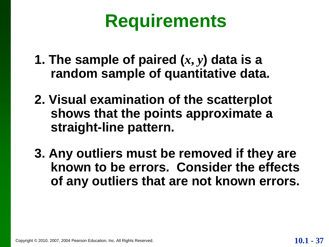# **Requirements**

- **1. The sample of paired**  $(x, y)$  **data is a random sample of quantitative data.**
- **2. Visual examination of the scatterplot shows that the points approximate a straight-line pattern.**
- **3. Any outliers must be removed if they are known to be errors. Consider the effects of any outliers that are not known errors.**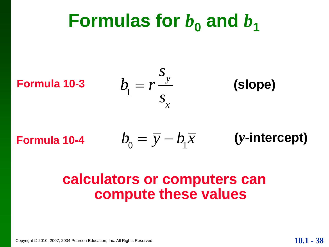**Formulas for** 
$$
b_0
$$
 **and**  $b_1$   
\n**Formula 10-3** 
$$
b_1 = r \frac{s_y}{s_x}
$$
 (slope)

Formula 10-4 
$$
b_0 = \overline{y} - b_1\overline{x}
$$
 (y-intercept)

#### **calculators or computers can compute these values**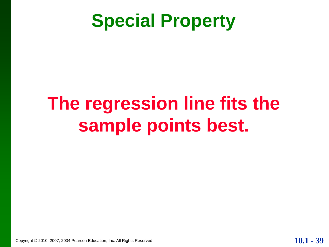# **Special Property**

# **The regression line fits the sample points best.**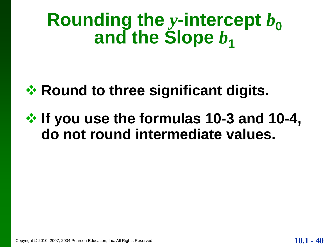# **Rounding the y-intercept**  $b<sub>0</sub>$ and the Slope  $b_1$

### **☆ Round to three significant digits.**

### $\diamond$  **If you use the formulas 10-3 and 10-4, do not round intermediate values.**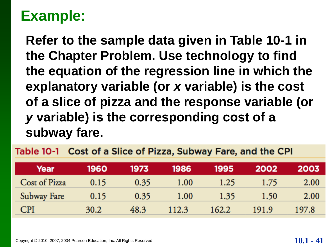**Refer to the sample data given in Table 10-1 in the Chapter Problem. Use technology to find the equation of the regression line in which the explanatory variable (or** *x* **variable) is the cost of a slice of pizza and the response variable (or**  *y* **variable) is the corresponding cost of a subway fare.** 

#### Table 10-1 Cost of a Slice of Pizza, Subway Fare, and the CPI

| Year          | 1960 | 1973 | 1986  | 1995  | 2002  | 2003  |
|---------------|------|------|-------|-------|-------|-------|
| Cost of Pizza | 0.15 | 0.35 | 1.00  | 1.25  | 1.75  | 2.00  |
| Subway Fare   | 0.15 | 0.35 | 1.00  | 1.35  | 1.50  | 2.00  |
| <b>CPI</b>    | 30.2 | 48.3 | 112.3 | 162.2 | 191.9 | 197.8 |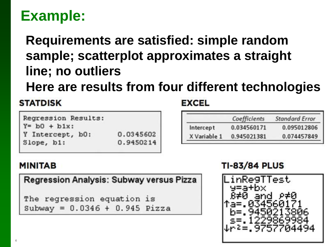#### **Requirements are satisfied: simple random sample; scatterplot approximates a straight line; no outliers**

**Here are results from four different technologies** 

#### **STATDISK**

Regression Results:  $Y = b0 + b1x$ : Y Intercept, b0: 0.0345602 Slope, b1: 0.9450214

#### **EXCEL**

|              | Coefficients | <b>Standard Error</b> |
|--------------|--------------|-----------------------|
| Intercept    | 0.034560171  | 0.095012806           |
| X Variable 1 | 0.945021381  | 0.074457849           |

#### **MINITAB**

**Regression Analysis: Subway versus Pizza** 

```
The regression equation is
Subway = 0.0346 + 0.945 Pizza
```
#### **TI-83/84 PLUS**

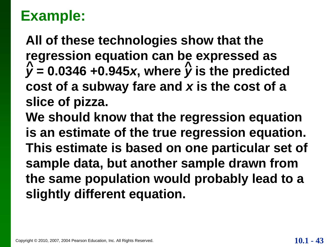**All of these technologies show that the regression equation can be expressed as**  $\hat{y}$  = 0.0346 +0.945*x*, where  $\hat{y}$  is the predicted **cost of a subway fare and** *x* **is the cost of a slice of pizza.**  $\hat{N} = 0.0346 + 0.945x$  where  $\hat{N}$ 

**We should know that the regression equation is an estimate of the true regression equation. This estimate is based on one particular set of sample data, but another sample drawn from the same population would probably lead to a slightly different equation.**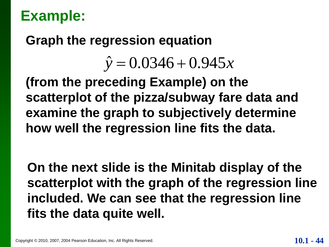#### **Graph the regression equation**

# gression equation<br> $\hat{y} = 0.0346 + 0.945x$  $\hat{\hat{y}}$  $\begin{aligned} \text{ession equation} \\ &= 0.0346 + 0.945x \\ \text{time Example } \end{aligned}$

**(from the preceding Example) on the scatterplot of the pizza/subway fare data and examine the graph to subjectively determine how well the regression line fits the data.**

**On the next slide is the Minitab display of the scatterplot with the graph of the regression line included. We can see that the regression line fits the data quite well.**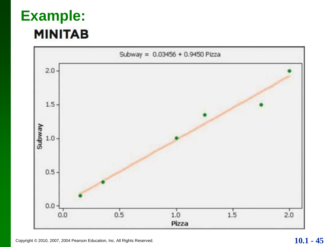### **Example:MINITAB**

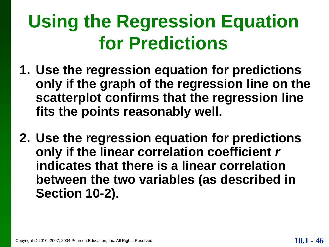# **Using the Regression Equation for Predictions**

- **1. Use the regression equation for predictions only if the graph of the regression line on the scatterplot confirms that the regression line fits the points reasonably well.**
- **2. Use the regression equation for predictions only if the linear correlation coefficient** *r* **indicates that there is a linear correlation between the two variables (as described in Section 10-2).**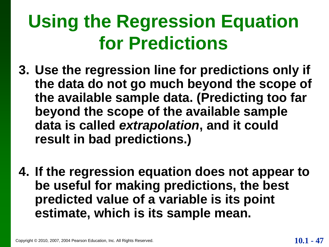# **Using the Regression Equation for Predictions**

- **3. Use the regression line for predictions only if the data do not go much beyond the scope of the available sample data. (Predicting too far beyond the scope of the available sample data is called** *extrapolation***, and it could result in bad predictions.)**
- **4. If the regression equation does not appear to be useful for making predictions, the best predicted value of a variable is its point estimate, which is its sample mean.**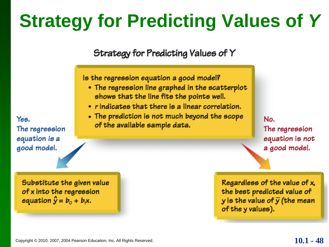# **Strategy for Predicting Values of** *Y*

#### Strategy for Predicting Values of Y

Is the regression equation a good model?

- The regression line graphed in the scatterplot shows that the line fits the points well.
- rindicates that there is a linear correlation.
- The prediction is not much beyond the scope of the available sample data.

No. The regression equation is not a good model.

Regardless of the value of x, the best predicted value of y is the value of  $\bar{y}$  (the mean of the y values).

Yes. The regression equation is a good model.

> Substitute the given value of x into the regression equation  $\hat{y} = b_0 + b_1x$ .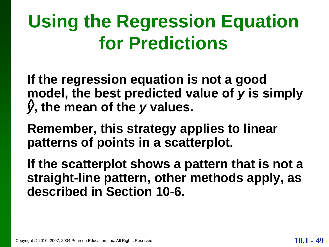# **Using the Regression Equation for Predictions**

**If the regression equation is not a good model, the best predicted value of** *y* **is simply**  *y***, the mean of the** *y* **values. ^**

**Remember, this strategy applies to linear patterns of points in a scatterplot.**

**If the scatterplot shows a pattern that is not a straight-line pattern, other methods apply, as described in Section 10-6.**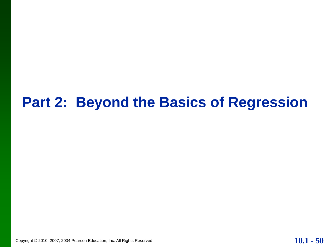#### **Part 2: Beyond the Basics of Regression**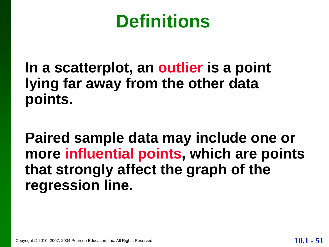## **Definitions**

#### **In a scatterplot, an outlier is a point lying far away from the other data points.**

**Paired sample data may include one or more influential points, which are points that strongly affect the graph of the regression line.**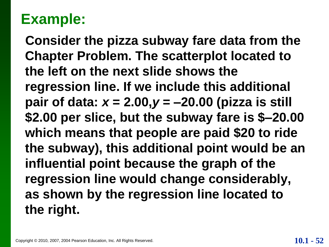**Consider the pizza subway fare data from the Chapter Problem. The scatterplot located to the left on the next slide shows the regression line. If we include this additional pair of data:** *x* **= 2.00,***y* **= –20.00 (pizza is still \$2.00 per slice, but the subway fare is \$–20.00 which means that people are paid \$20 to ride the subway), this additional point would be an influential point because the graph of the regression line would change considerably, as shown by the regression line located to the right.**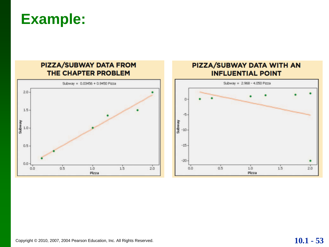

#### PIZZA/SUBWAY DATA WITH AN **INFLUENTIAL POINT**